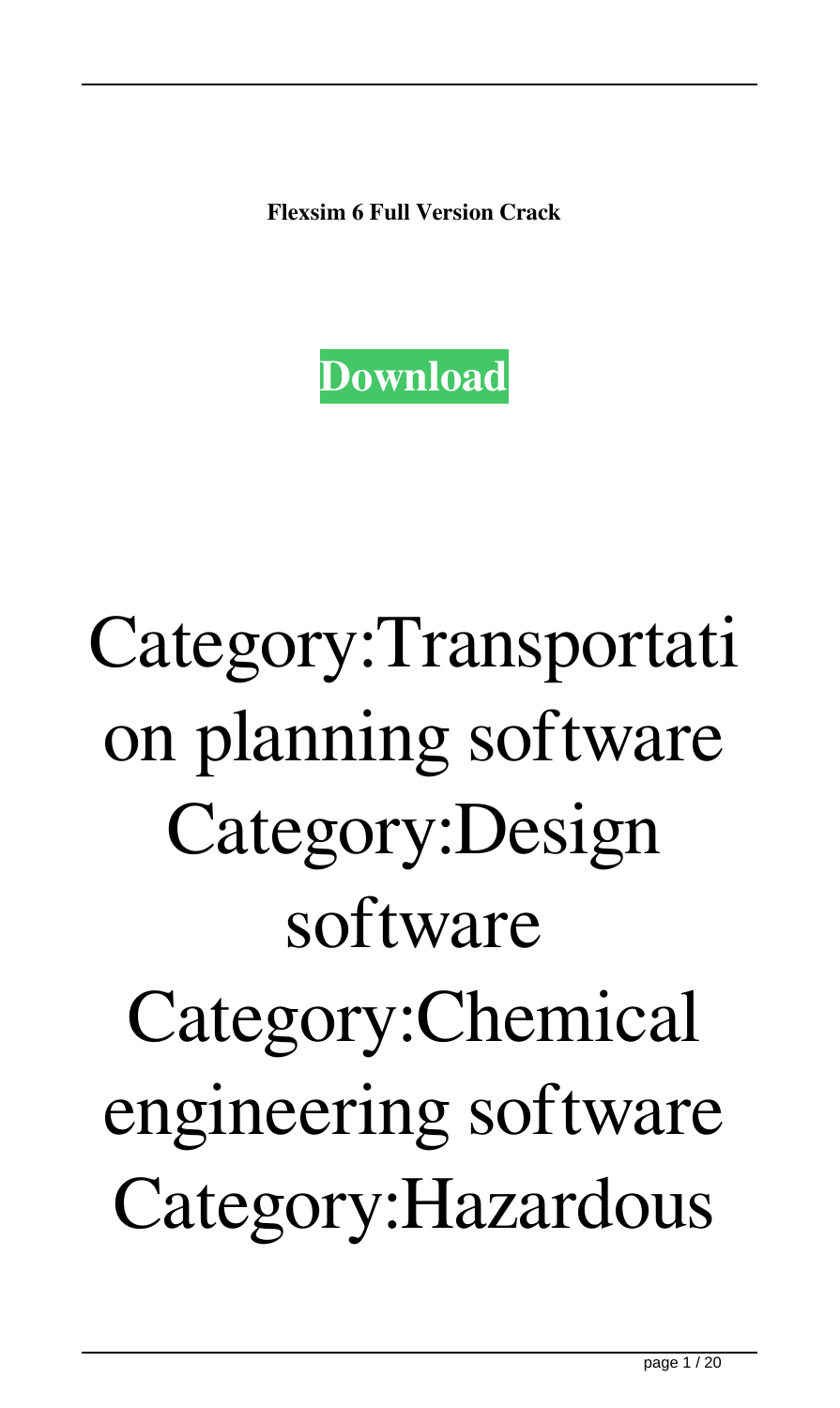**Flexsim 6 Full Version Crack**



## Category:Transportati on planning software Category:Design software Category:Chemical engineering software Category:Hazardous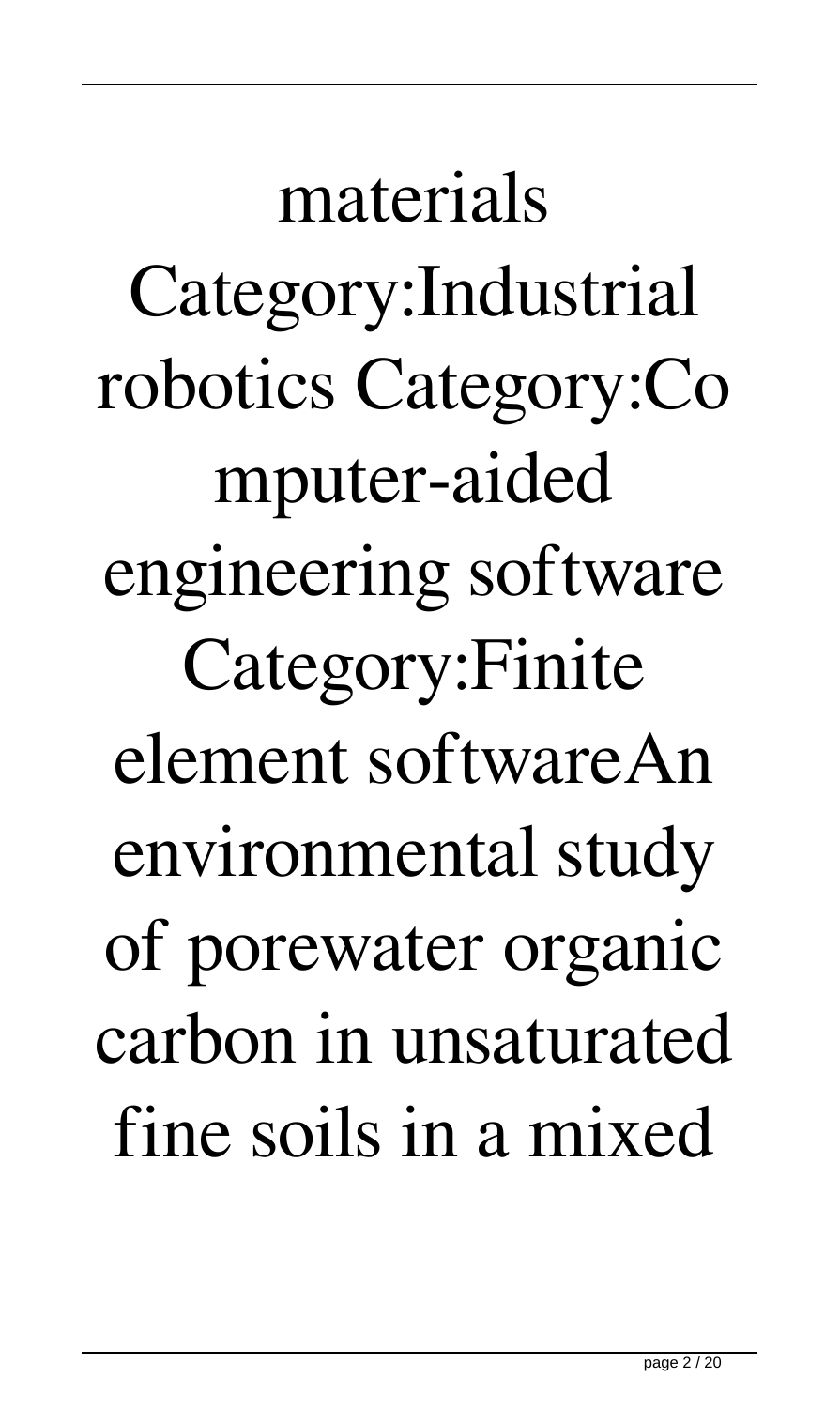materials Category:Industrial robotics Category:Co mputer-aided engineering software Category:Finite element softwareAn environmental study of porewater organic carbon in unsaturated fine soils in a mixed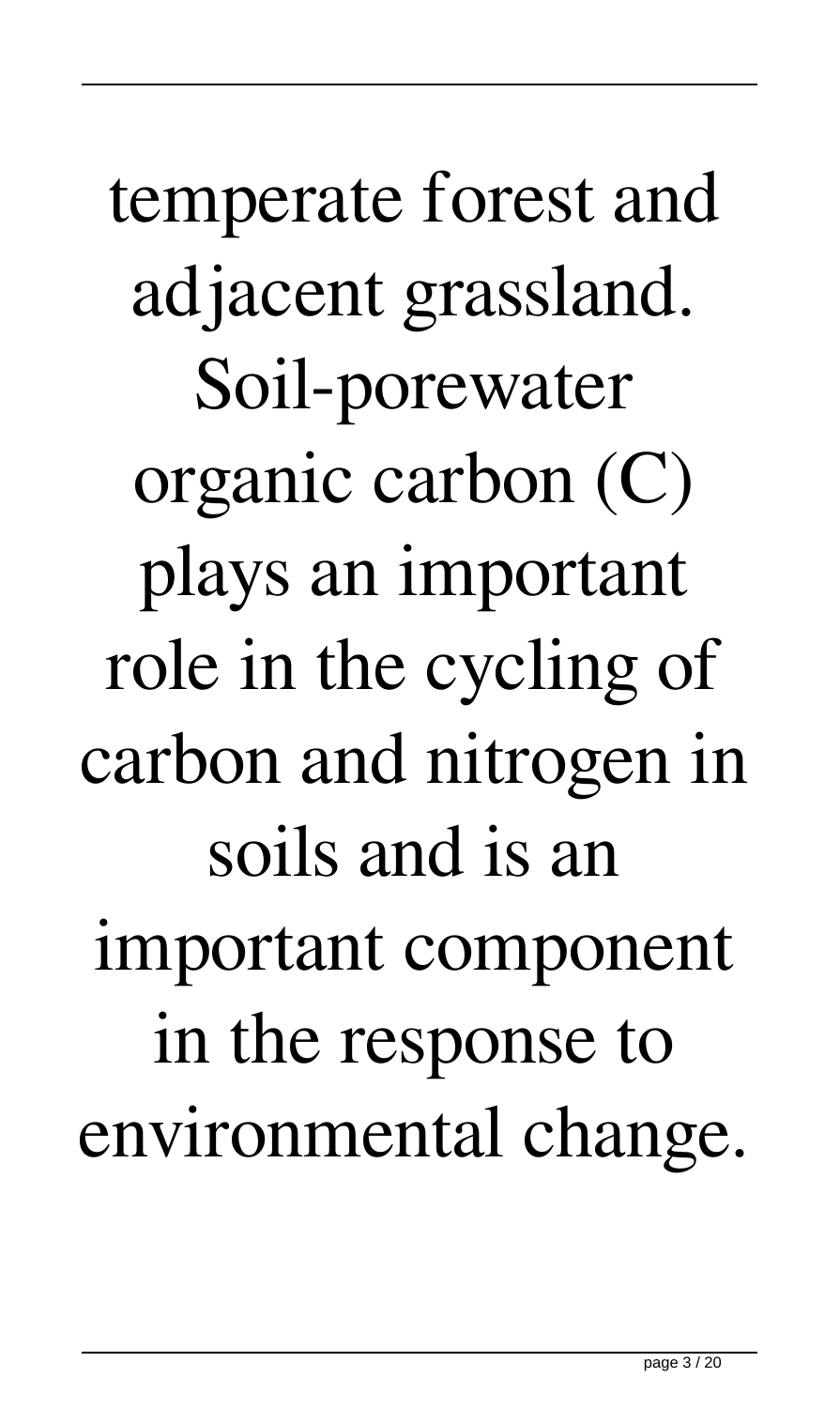temperate forest and adjacent grassland. Soil-porewater organic carbon (C) plays an important role in the cycling of carbon and nitrogen in soils and is an important component in the response to environmental change.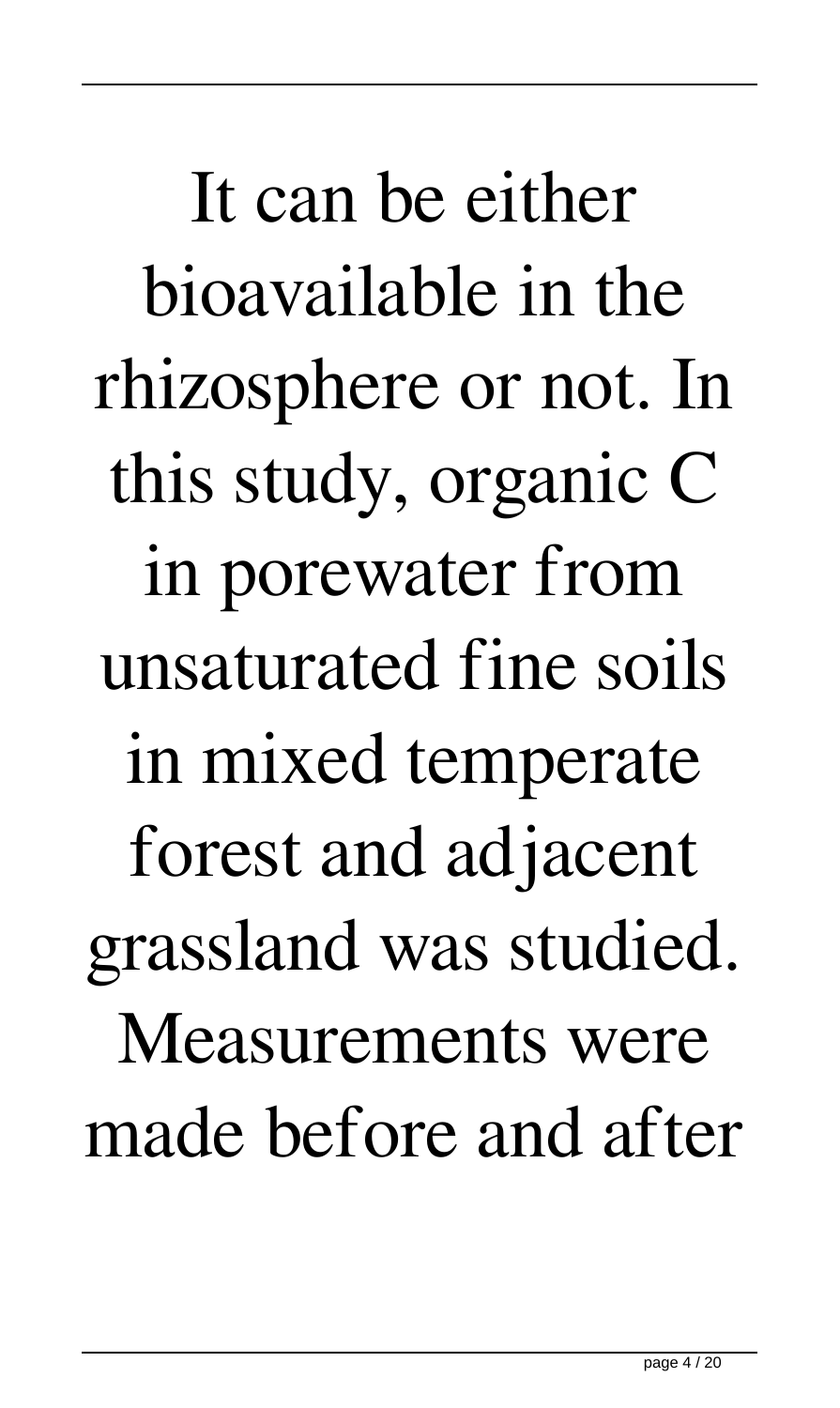It can be either bioavailable in the rhizosphere or not. In this study, organic C in porewater from unsaturated fine soils in mixed temperate forest and adjacent grassland was studied. Measurements were made before and after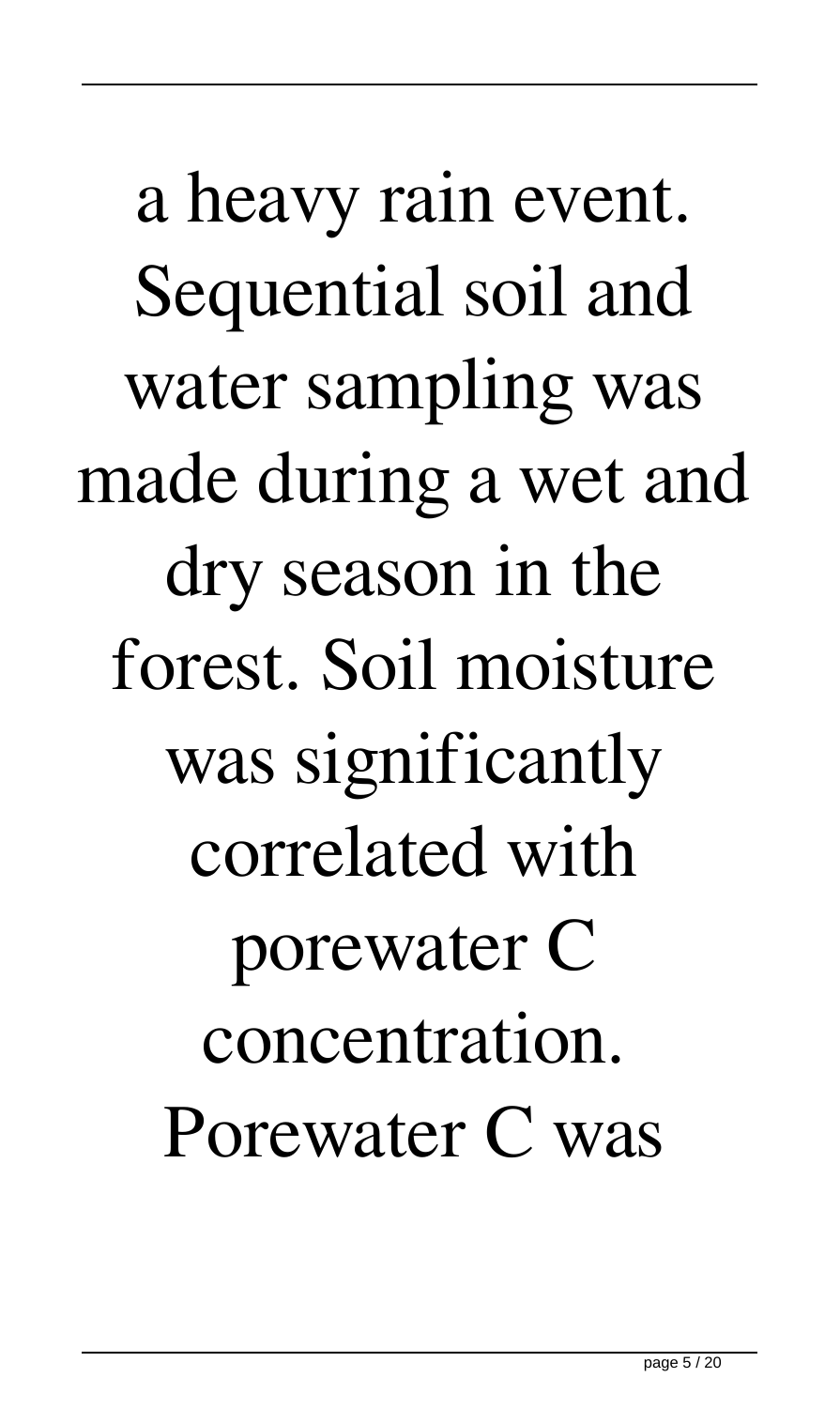a heavy rain event. Sequential soil and water sampling was made during a wet and dry season in the forest. Soil moisture was significantly correlated with porewater C concentration. Porewater C was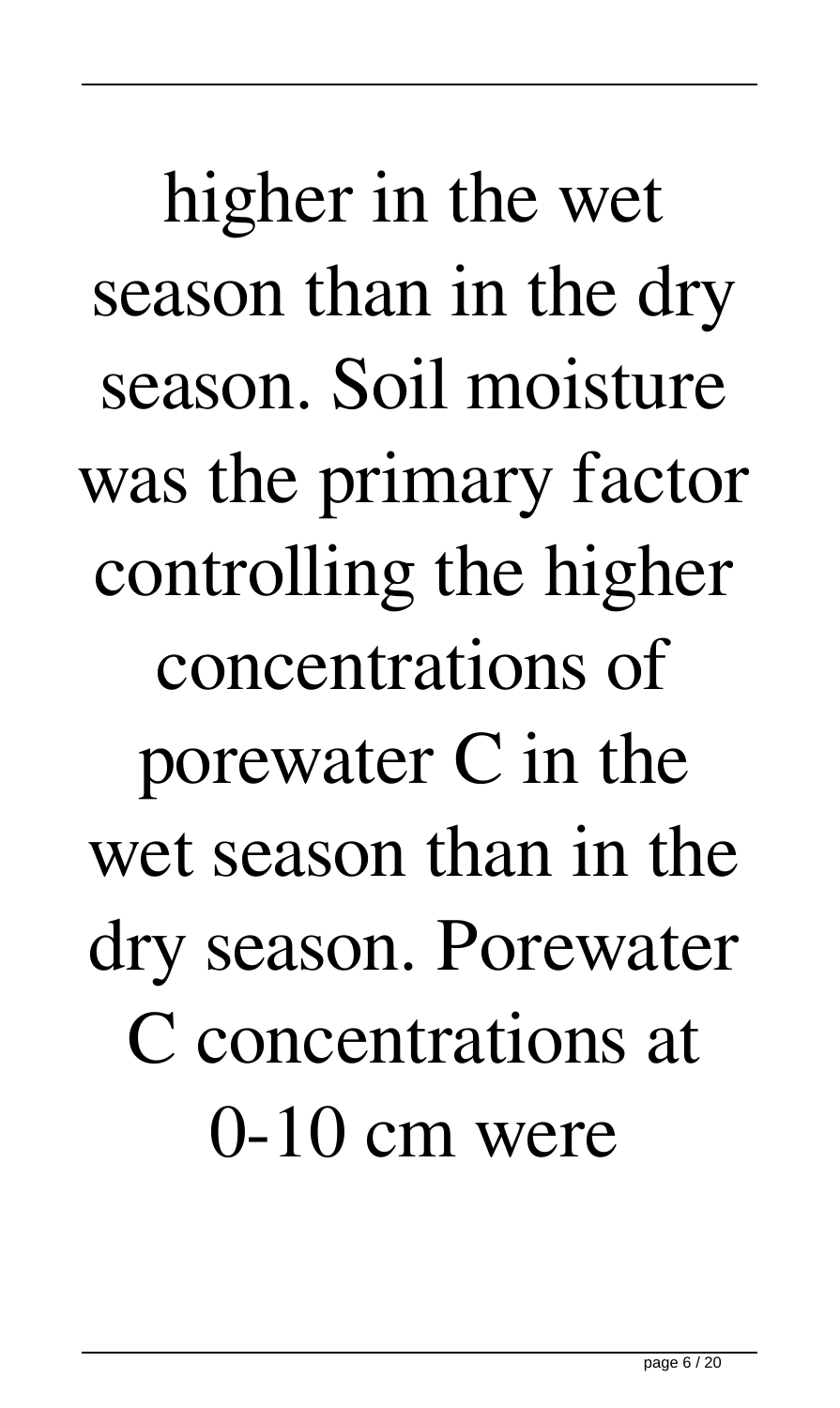higher in the wet season than in the dry season. Soil moisture was the primary factor controlling the higher concentrations of porewater C in the wet season than in the dry season. Porewater C concentrations at 0-10 cm were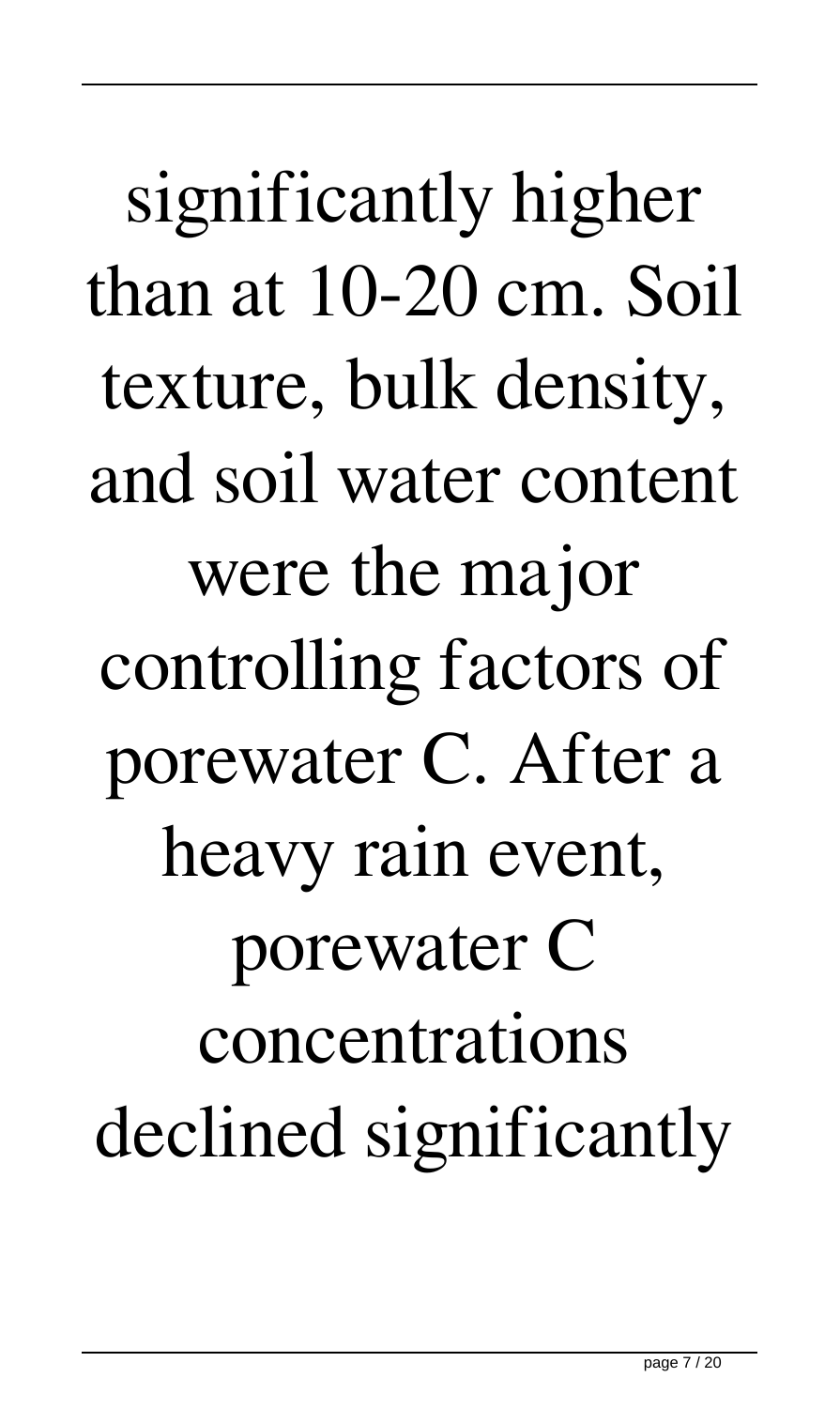significantly higher than at 10-20 cm. Soil texture, bulk density, and soil water content were the major controlling factors of porewater C. After a heavy rain event, porewater C concentrations declined significantly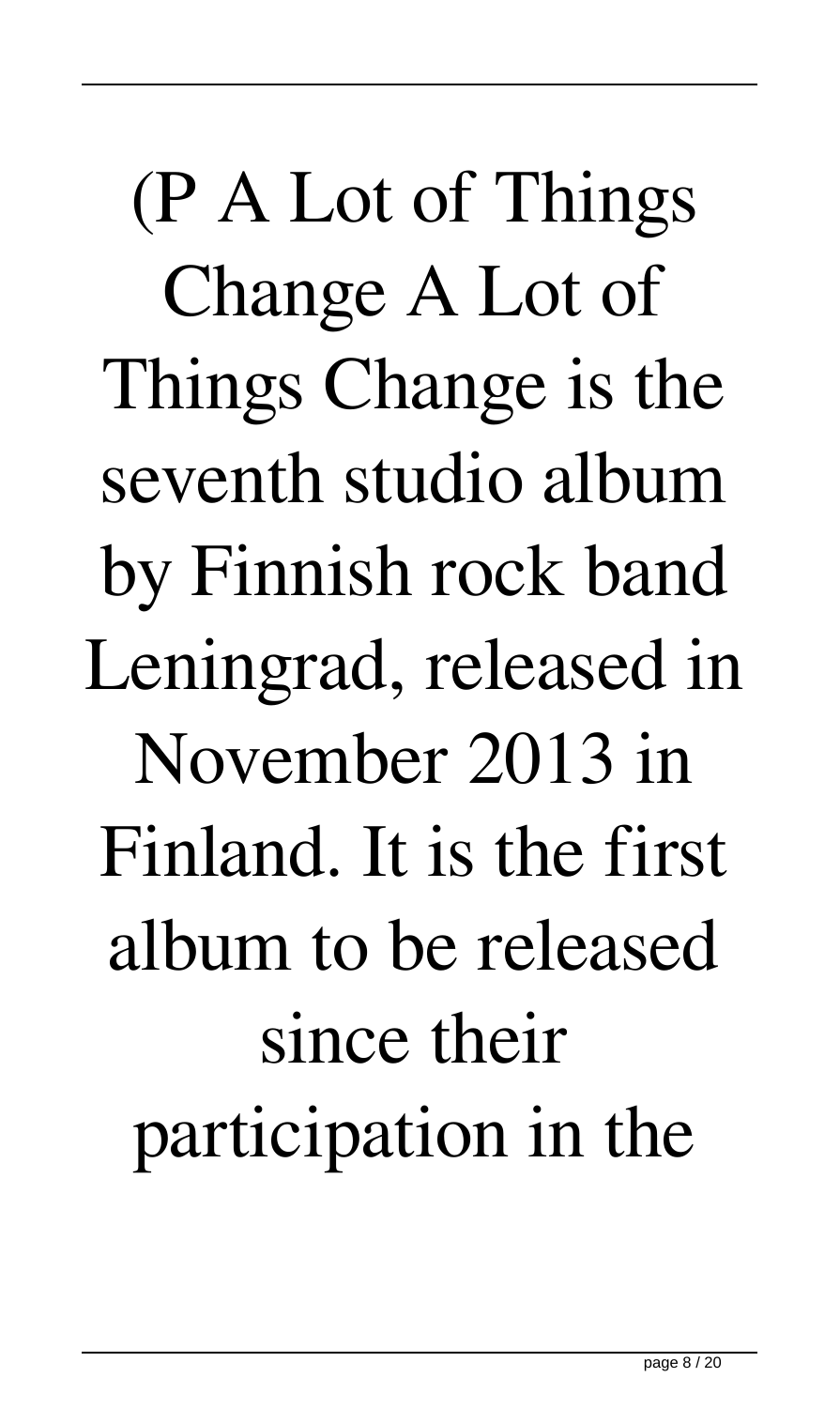(P A Lot of Things Change A Lot of Things Change is the seventh studio album by Finnish rock band Leningrad, released in November 2013 in Finland. It is the first album to be released since their participation in the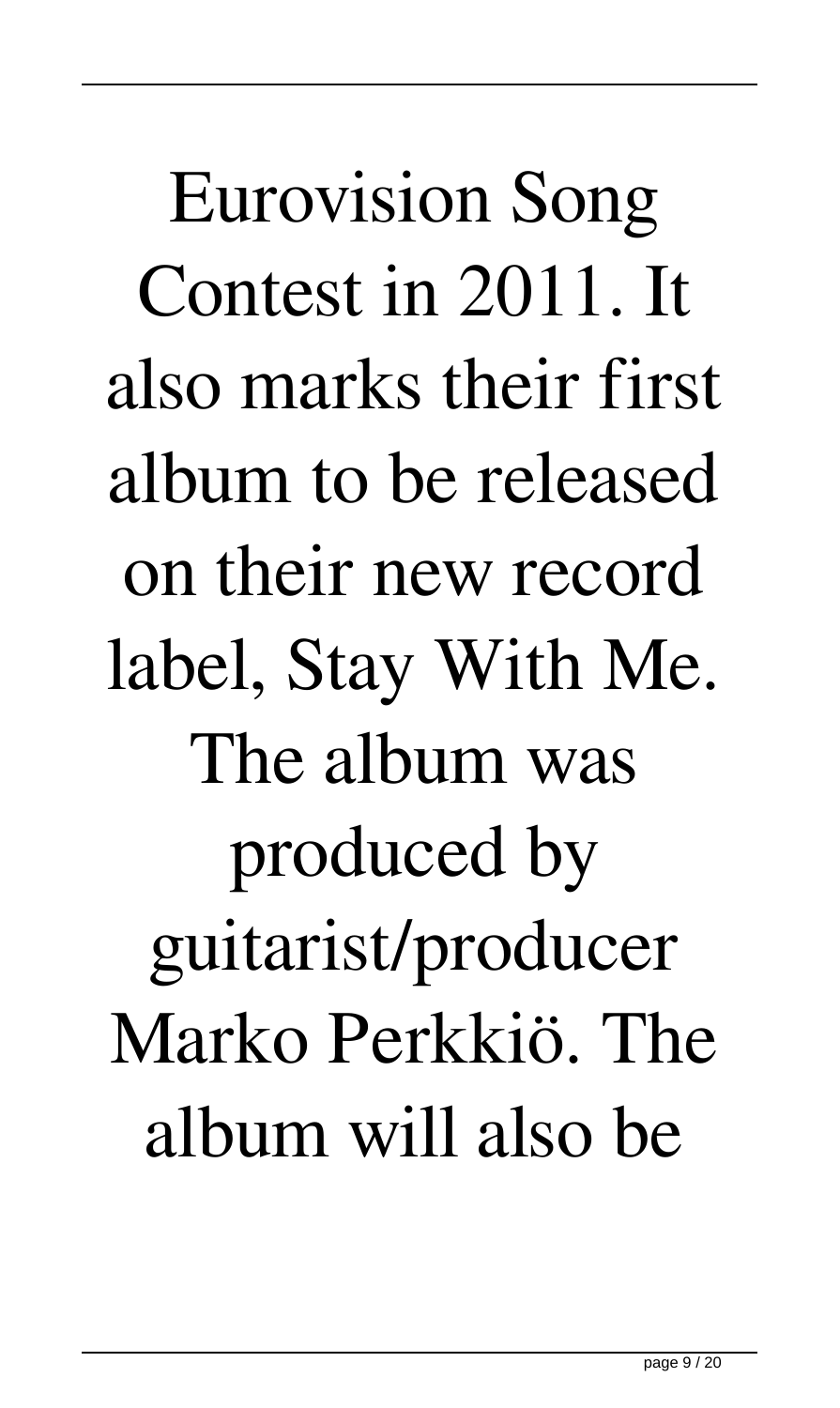Eurovision Song Contest in 2011. It also marks their first album to be released on their new record label, Stay With Me. The album was produced by guitarist/producer Marko Perkkiö. The album will also be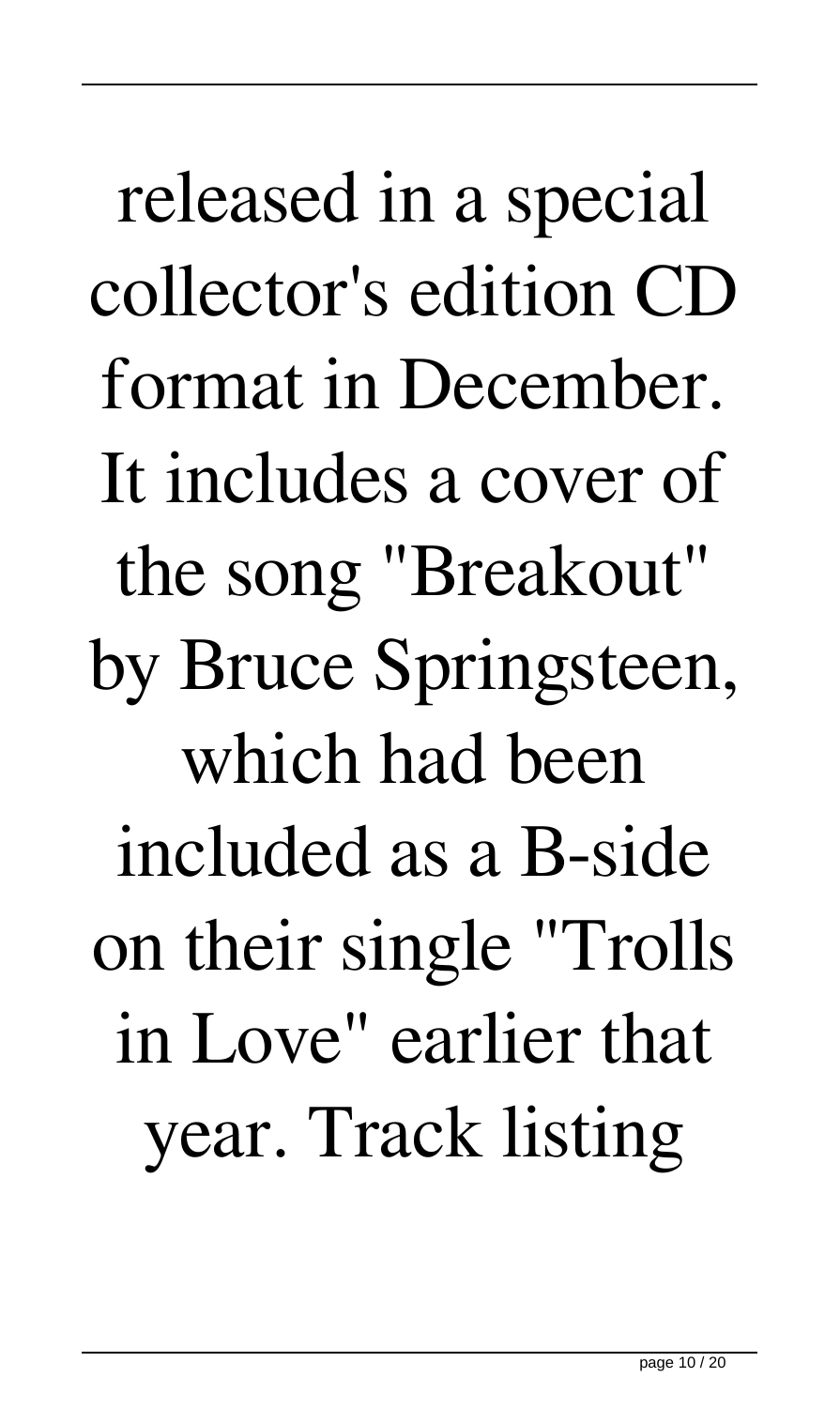released in a special collector's edition CD format in December. It includes a cover of the song "Breakout" by Bruce Springsteen, which had been included as a B-side on their single "Trolls in Love" earlier that year. Track listing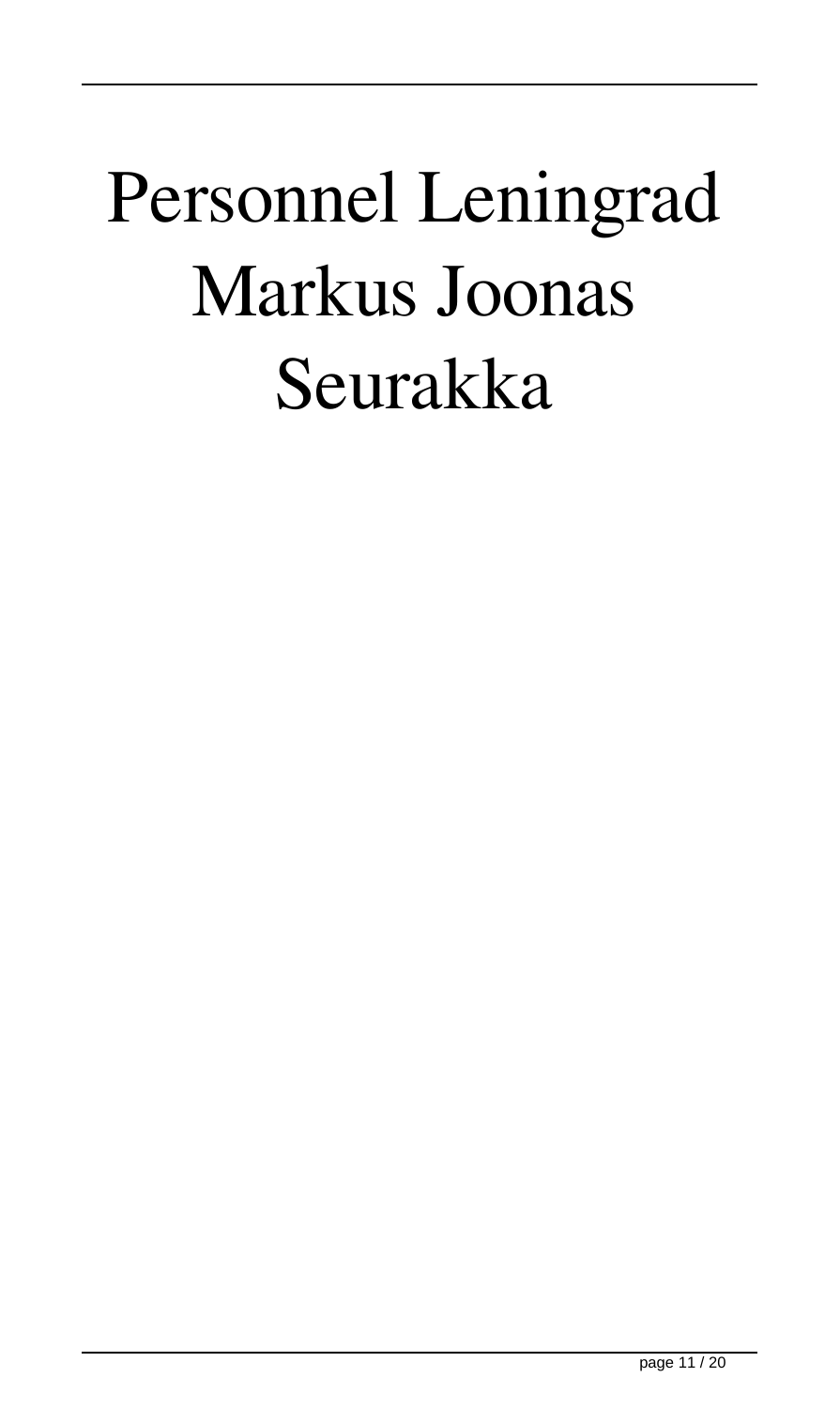## Personnel Leningrad Markus Joonas Seurakka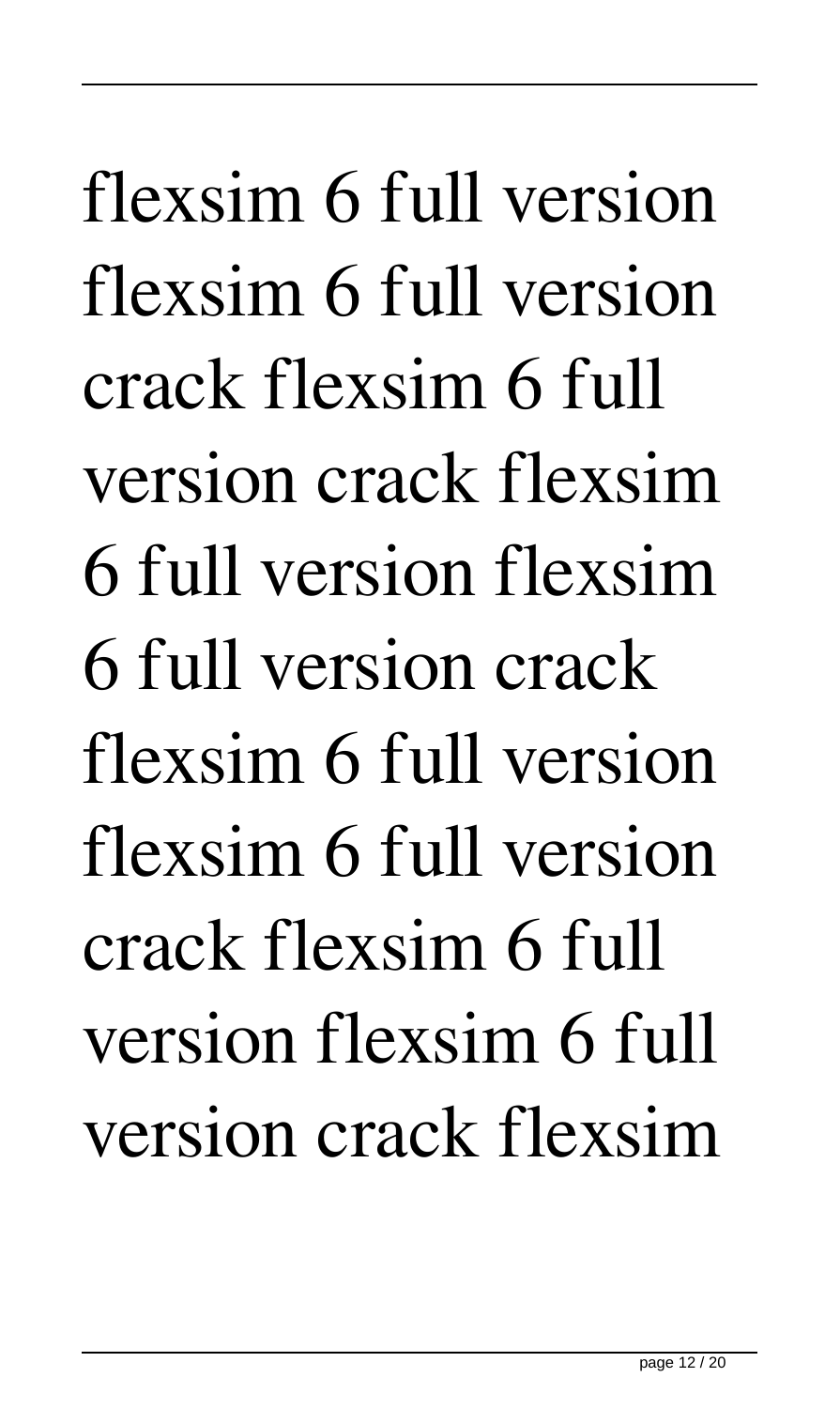flexsim 6 full version flexsim 6 full version crack flexsim 6 full version crack flexsim 6 full version flexsim 6 full version crack flexsim 6 full version flexsim 6 full version crack flexsim 6 full version flexsim 6 full version crack flexsim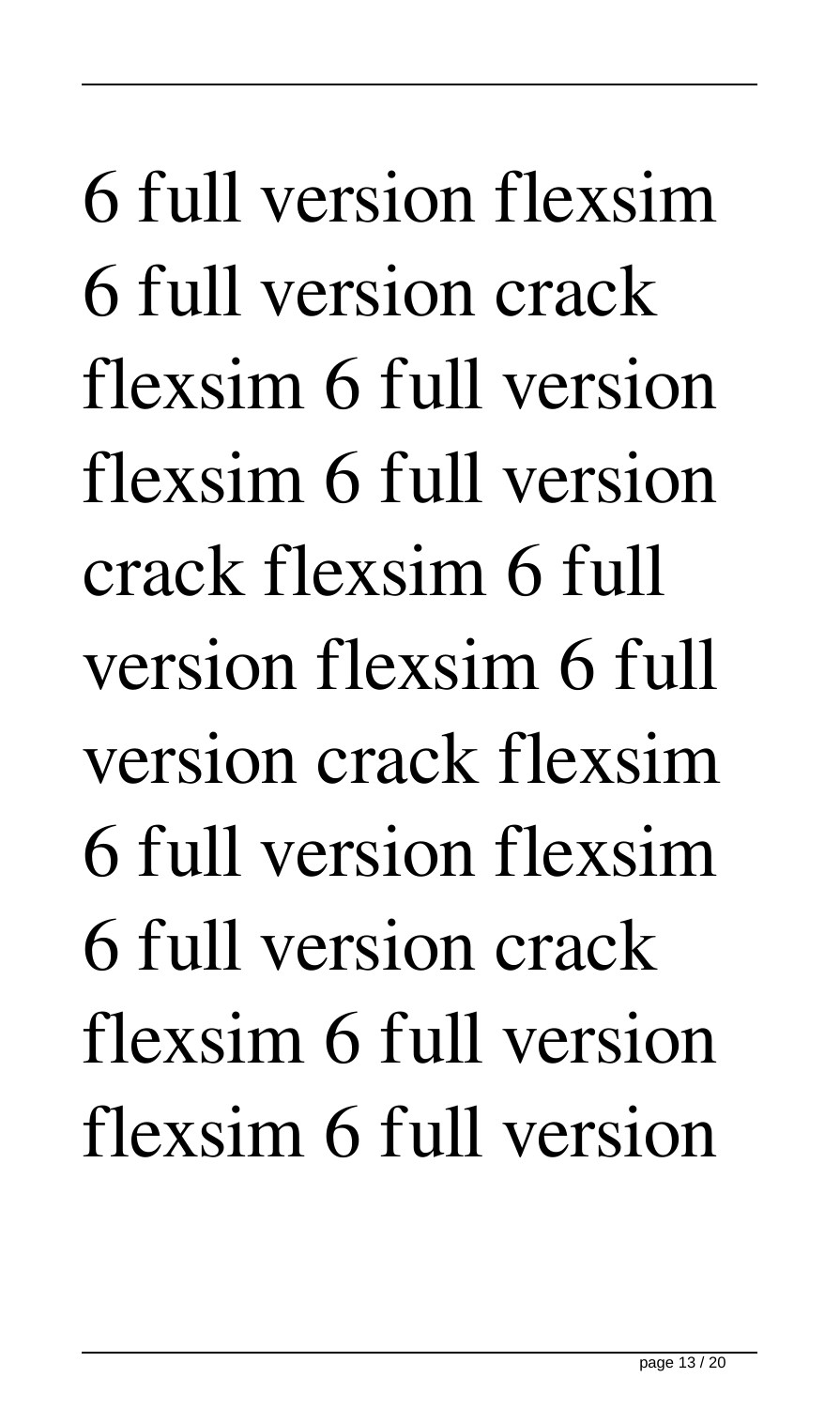6 full version flexsim 6 full version crack flexsim 6 full version flexsim 6 full version crack flexsim 6 full version flexsim 6 full version crack flexsim 6 full version flexsim 6 full version crack flexsim 6 full version flexsim 6 full version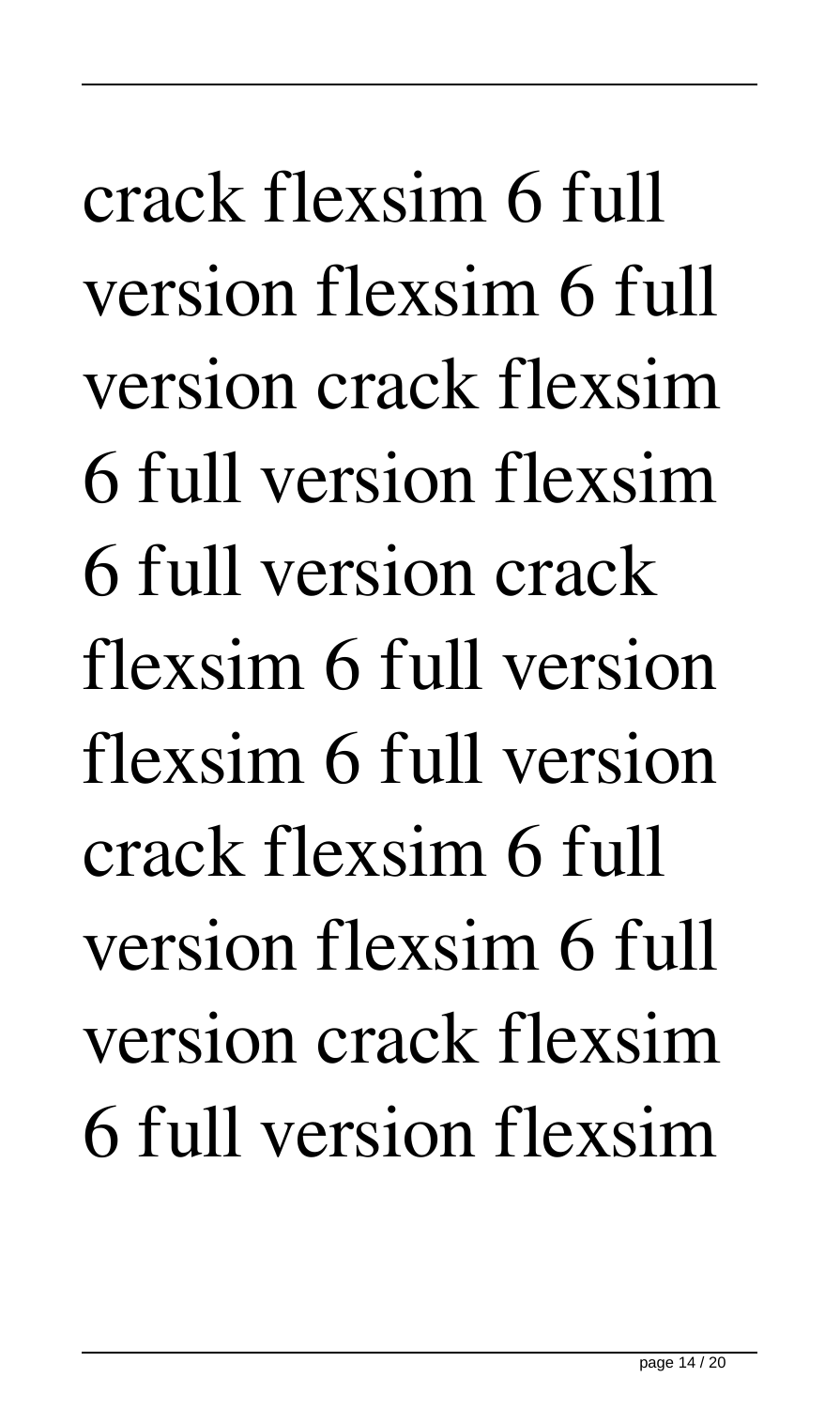crack flexsim 6 full version flexsim 6 full version crack flexsim 6 full version flexsim 6 full version crack flexsim 6 full version flexsim 6 full version crack flexsim 6 full version flexsim 6 full version crack flexsim 6 full version flexsim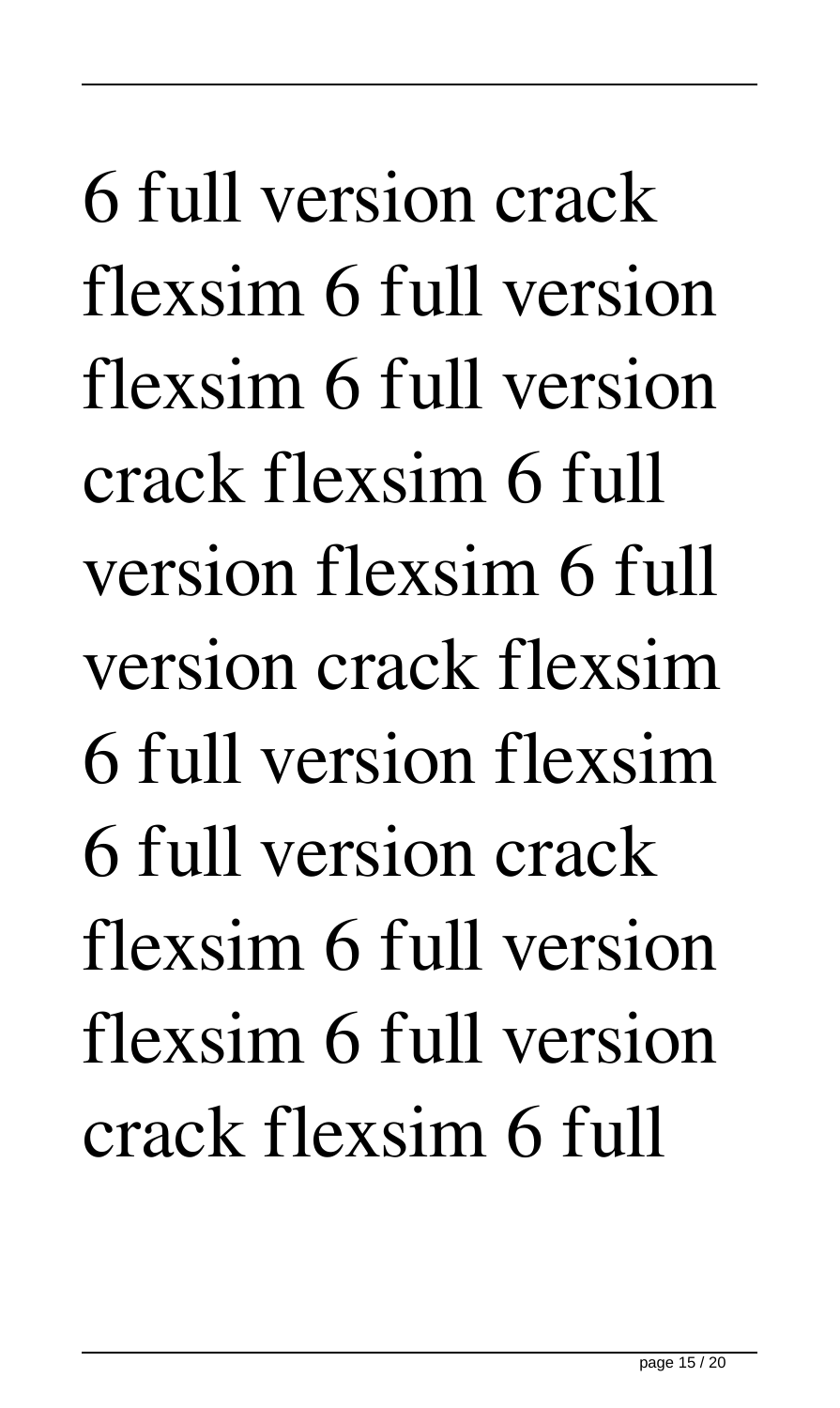6 full version crack flexsim 6 full version flexsim 6 full version crack flexsim 6 full version flexsim 6 full version crack flexsim 6 full version flexsim 6 full version crack flexsim 6 full version flexsim 6 full version crack flexsim 6 full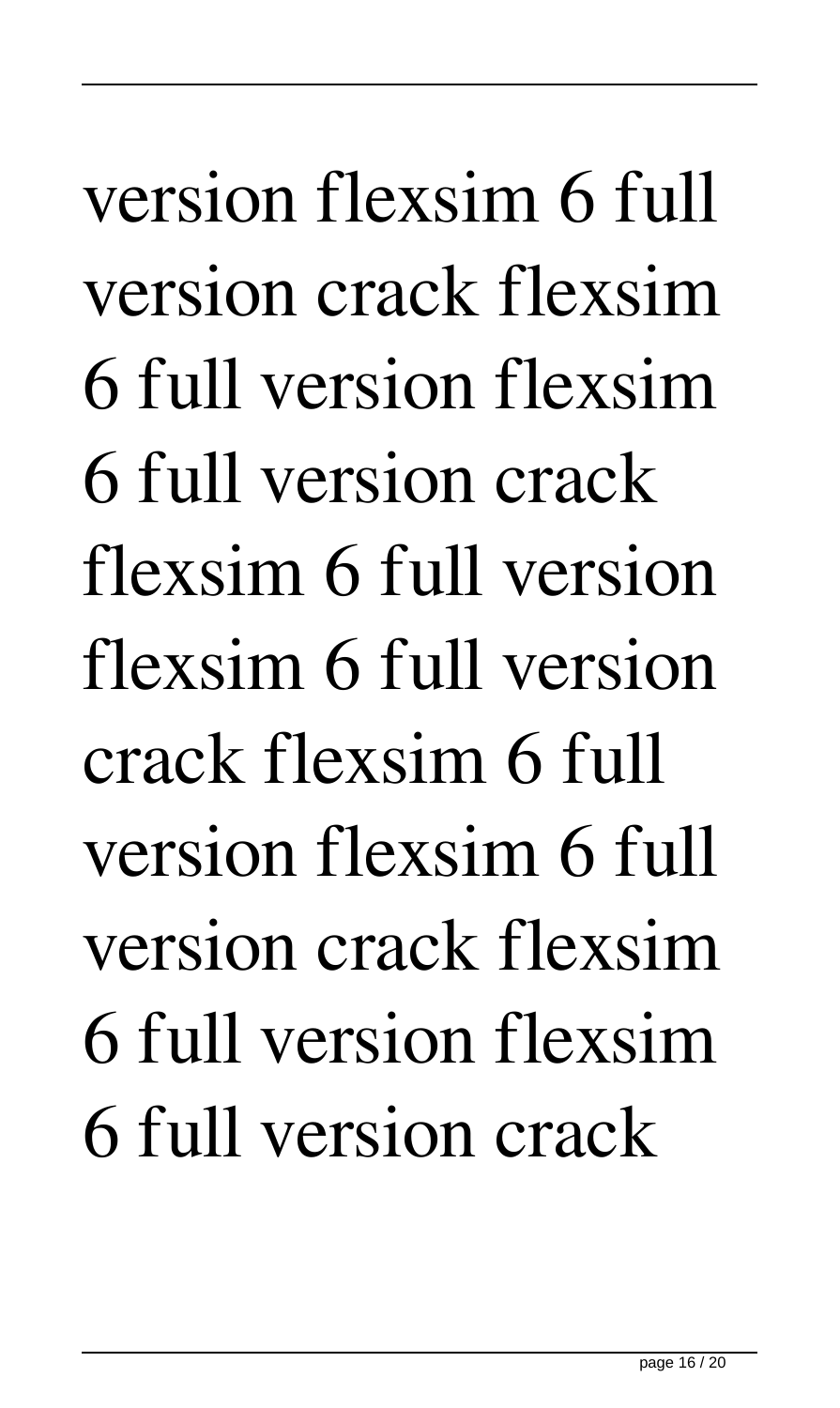version flexsim 6 full version crack flexsim 6 full version flexsim 6 full version crack flexsim 6 full version flexsim 6 full version crack flexsim 6 full version flexsim 6 full version crack flexsim 6 full version flexsim 6 full version crack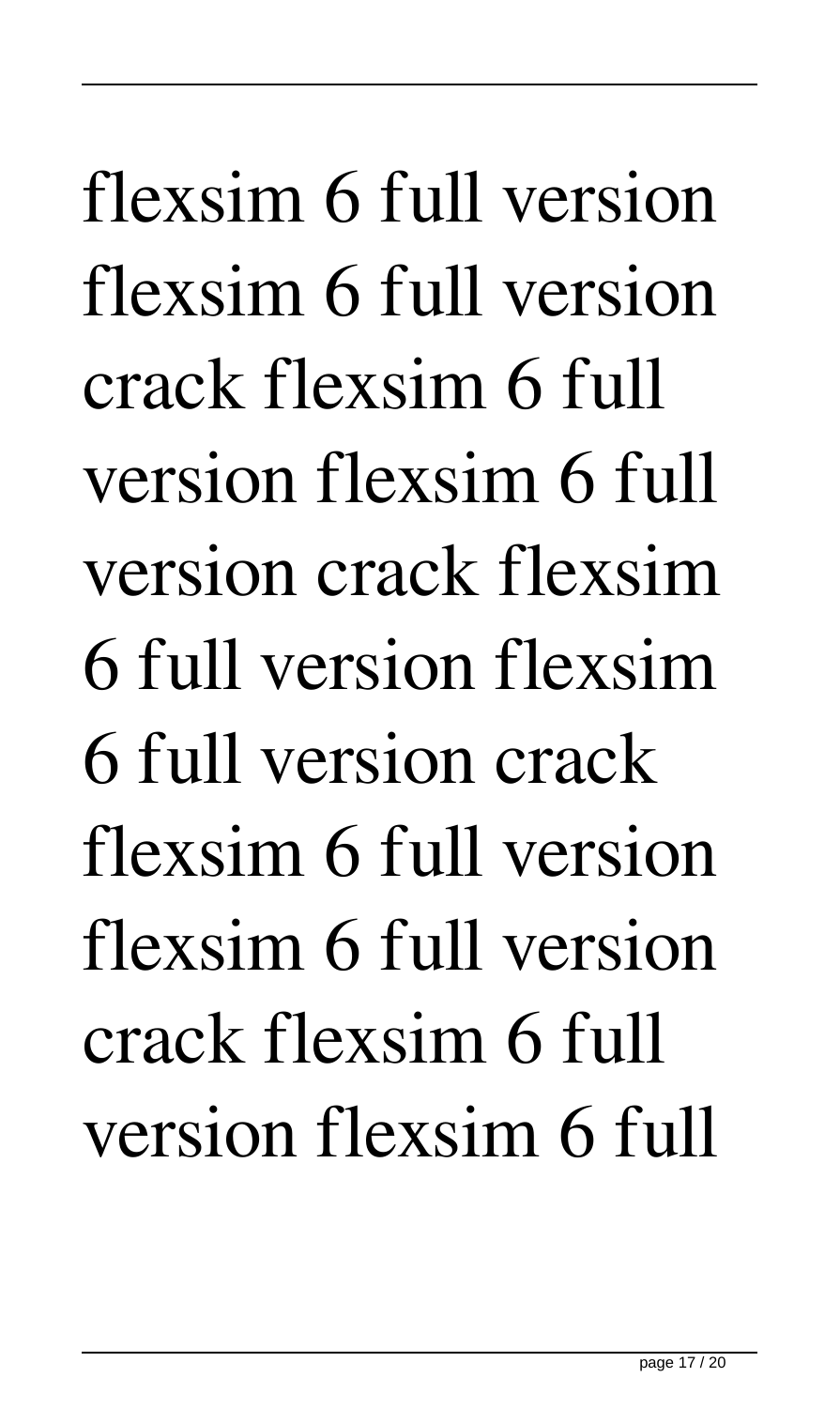flexsim 6 full version flexsim 6 full version crack flexsim 6 full version flexsim 6 full version crack flexsim 6 full version flexsim 6 full version crack flexsim 6 full version flexsim 6 full version crack flexsim 6 full version flexsim 6 full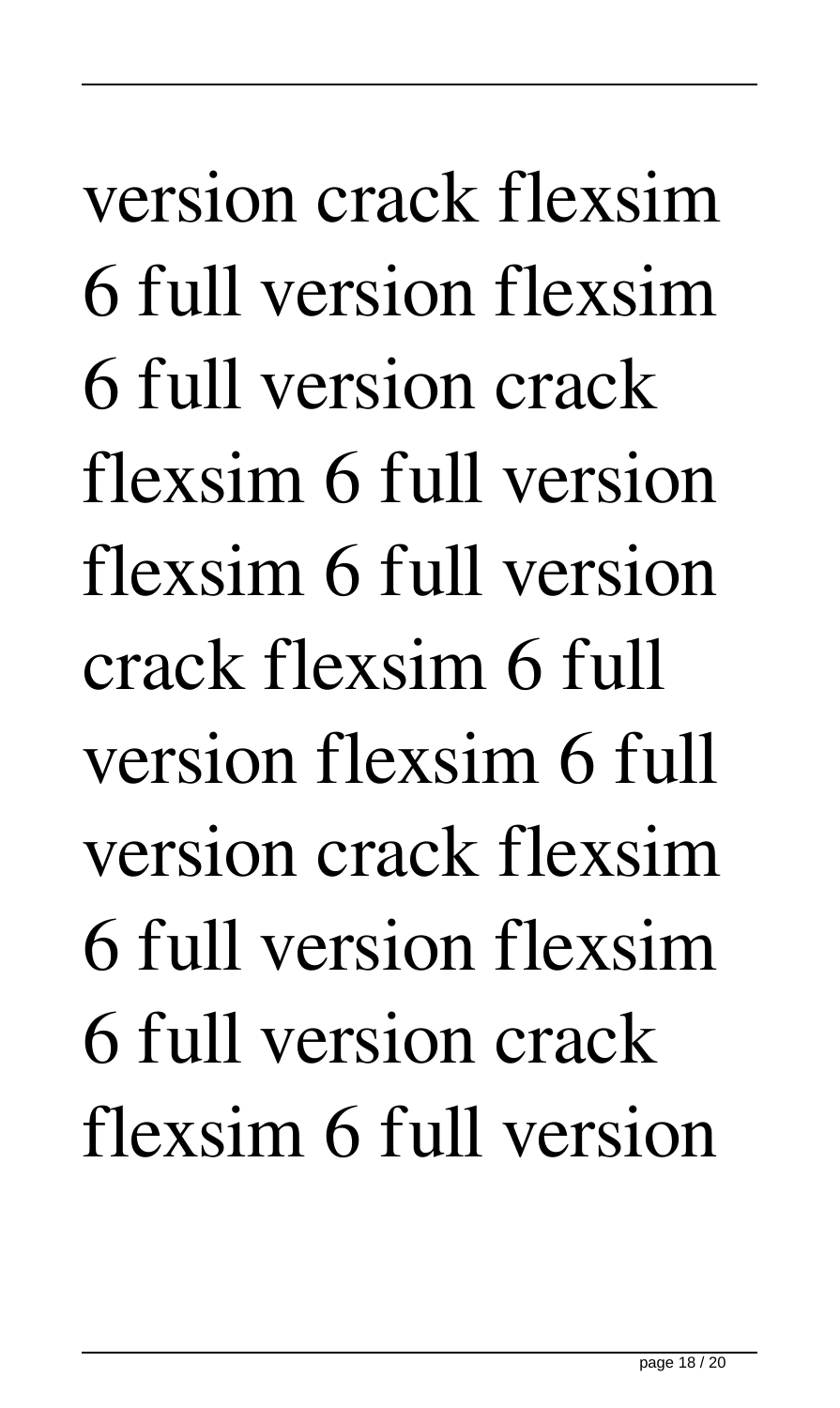version crack flexsim 6 full version flexsim 6 full version crack flexsim 6 full version flexsim 6 full version crack flexsim 6 full version flexsim 6 full version crack flexsim 6 full version flexsim 6 full version crack flexsim 6 full version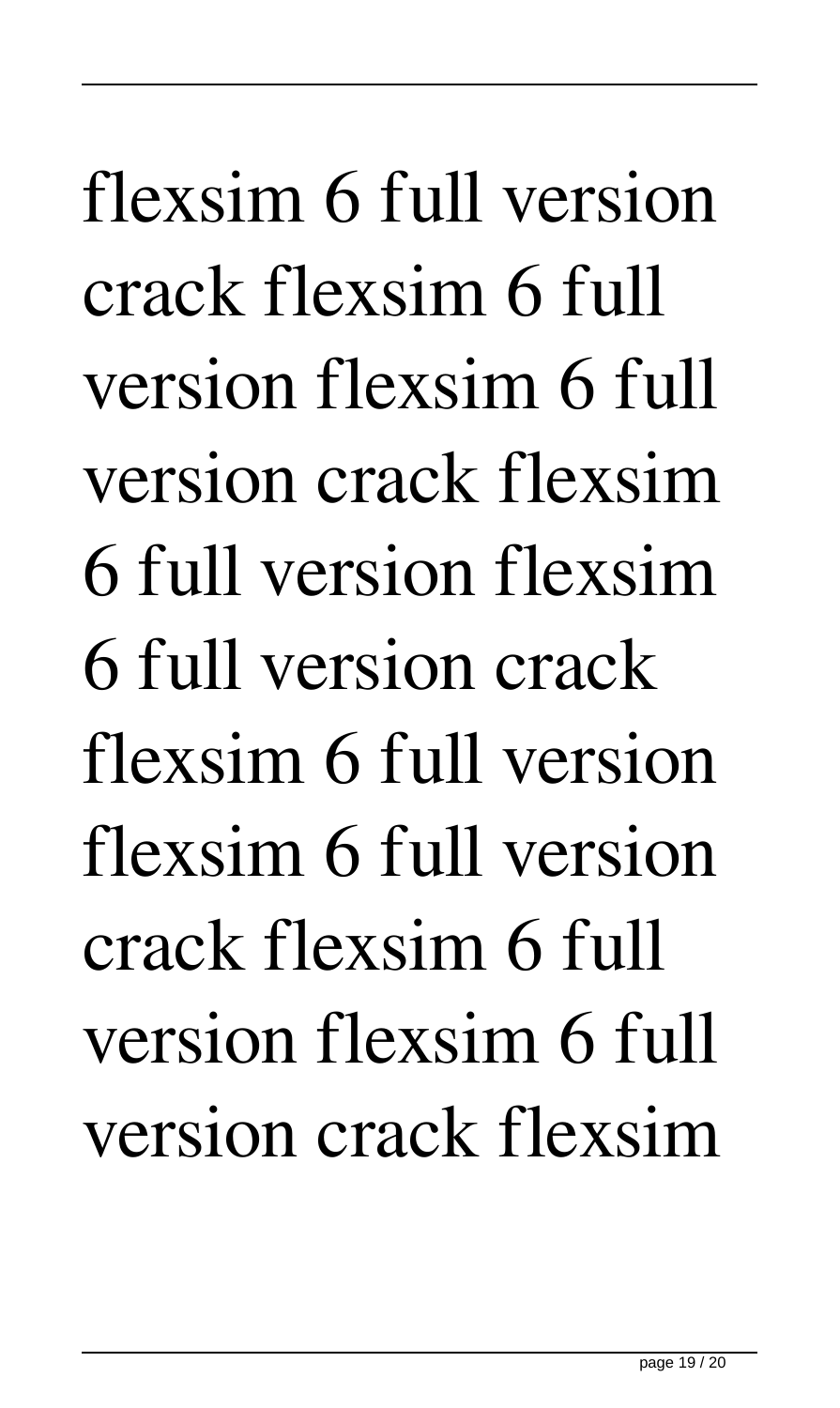flexsim 6 full version crack flexsim 6 full version flexsim 6 full version crack flexsim 6 full version flexsim 6 full version crack flexsim 6 full version flexsim 6 full version crack flexsim 6 full version flexsim 6 full version crack flexsim